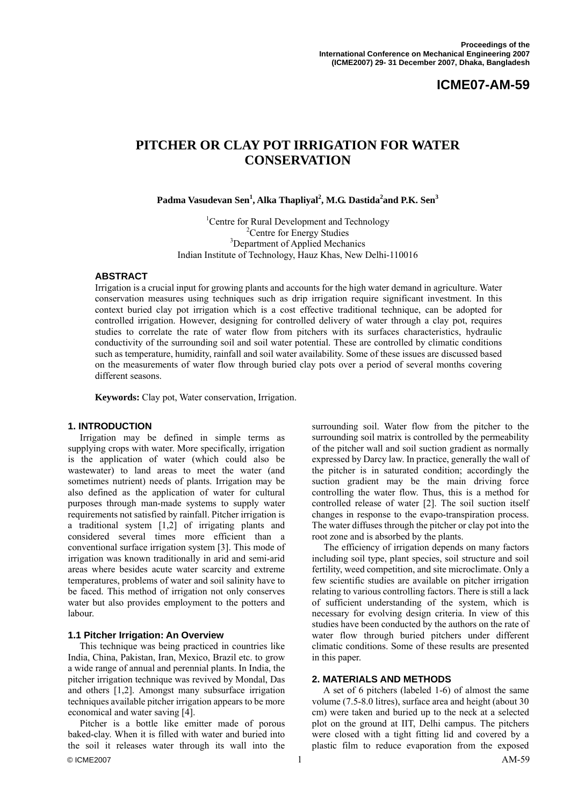# **ICME07-AM-59**

# **PITCHER OR CLAY POT IRRIGATION FOR WATER CONSERVATION**

 $\mathbf{P}\text{adma V}$ asudevan Sen $^1$ , Alka Thapliyal $^2$ , M.G. Dastida $^2$ and P.K. Sen $^3$ 

<sup>1</sup> Centre for Rural Development and Technology<br> $\frac{2 \text{Centre}}{2 \text{Centre}}$  for Energy Studies  ${}^{2}$ Centre for Energy Studies <sup>3</sup>Department of Applied Mechanics Indian Institute of Technology, Hauz Khas, New Delhi-110016

#### **ABSTRACT**

Irrigation is a crucial input for growing plants and accounts for the high water demand in agriculture. Water conservation measures using techniques such as drip irrigation require significant investment. In this context buried clay pot irrigation which is a cost effective traditional technique, can be adopted for controlled irrigation. However, designing for controlled delivery of water through a clay pot, requires studies to correlate the rate of water flow from pitchers with its surfaces characteristics, hydraulic conductivity of the surrounding soil and soil water potential. These are controlled by climatic conditions such as temperature, humidity, rainfall and soil water availability. Some of these issues are discussed based on the measurements of water flow through buried clay pots over a period of several months covering different seasons.

**Keywords:** Clay pot, Water conservation, Irrigation.

#### **1. INTRODUCTION**

 Irrigation may be defined in simple terms as supplying crops with water. More specifically, irrigation is the application of water (which could also be wastewater) to land areas to meet the water (and sometimes nutrient) needs of plants. Irrigation may be also defined as the application of water for cultural purposes through man-made systems to supply water requirements not satisfied by rainfall. Pitcher irrigation is a traditional system [1,2] of irrigating plants and considered several times more efficient than a conventional surface irrigation system [3]. This mode of irrigation was known traditionally in arid and semi-arid areas where besides acute water scarcity and extreme temperatures, problems of water and soil salinity have to be faced. This method of irrigation not only conserves water but also provides employment to the potters and labour.

#### **1.1 Pitcher Irrigation: An Overview**

 This technique was being practiced in countries like India, China, Pakistan, Iran, Mexico, Brazil etc. to grow a wide range of annual and perennial plants. In India, the pitcher irrigation technique was revived by Mondal, Das and others [1,2]. Amongst many subsurface irrigation techniques available pitcher irrigation appears to be more economical and water saving [4].

© ICME2007  $\qquad \qquad$  AM-59 Pitcher is a bottle like emitter made of porous baked-clay. When it is filled with water and buried into the soil it releases water through its wall into the

surrounding soil. Water flow from the pitcher to the surrounding soil matrix is controlled by the permeability of the pitcher wall and soil suction gradient as normally expressed by Darcy law. In practice, generally the wall of the pitcher is in saturated condition; accordingly the suction gradient may be the main driving force controlling the water flow. Thus, this is a method for controlled release of water [2]. The soil suction itself changes in response to the evapo-transpiration process. The water diffuses through the pitcher or clay pot into the root zone and is absorbed by the plants.

 The efficiency of irrigation depends on many factors including soil type, plant species, soil structure and soil fertility, weed competition, and site microclimate. Only a few scientific studies are available on pitcher irrigation relating to various controlling factors. There is still a lack of sufficient understanding of the system, which is necessary for evolving design criteria. In view of this studies have been conducted by the authors on the rate of water flow through buried pitchers under different climatic conditions. Some of these results are presented in this paper.

#### **2. MATERIALS AND METHODS**

 A set of 6 pitchers (labeled 1-6) of almost the same volume (7.5-8.0 litres), surface area and height (about 30 cm) were taken and buried up to the neck at a selected plot on the ground at IIT, Delhi campus. The pitchers were closed with a tight fitting lid and covered by a plastic film to reduce evaporation from the exposed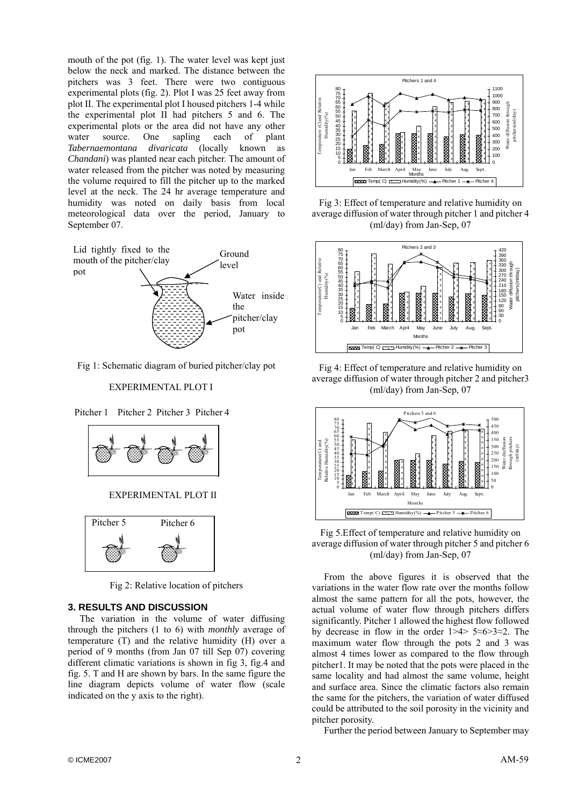mouth of the pot (fig. 1). The water level was kept just below the neck and marked. The distance between the pitchers was 3 feet. There were two contiguous experimental plots (fig. 2). Plot I was 25 feet away from plot II. The experimental plot I housed pitchers 1-4 while the experimental plot II had pitchers 5 and 6. The experimental plots or the area did not have any other water source. One sapling each of plant *Tabernaemontana divaricata* (locally known as *Chandani*) was planted near each pitcher. The amount of water released from the pitcher was noted by measuring the volume required to fill the pitcher up to the marked level at the neck. The 24 hr average temperature and humidity was noted on daily basis from local meteorological data over the period, January to September 07.



Fig 1: Schematic diagram of buried pitcher/clay pot

#### EXPERIMENTAL PLOT I

Pitcher 1 Pitcher 2 Pitcher 3 Pitcher 4



EXPERIMENTAL PLOT II



Fig 2: Relative location of pitchers

## **3. RESULTS AND DISCUSSION**

 The variation in the volume of water diffusing through the pitchers (1 to 6) with *monthly* average of temperature (T) and the relative humidity (H) over a period of 9 months (from Jan 07 till Sep 07) covering different climatic variations is shown in fig 3, fig.4 and fig. 5. T and H are shown by bars. In the same figure the line diagram depicts volume of water flow (scale indicated on the y axis to the right).



Fig 3: Effect of temperature and relative humidity on average diffusion of water through pitcher 1 and pitcher 4 (ml/day) from Jan-Sep, 07



Fig 4: Effect of temperature and relative humidity on average diffusion of water through pitcher 2 and pitcher3 (ml/day) from Jan-Sep, 07



Fig 5.Effect of temperature and relative humidity on average diffusion of water through pitcher 5 and pitcher 6 (ml/day) from Jan-Sep, 07

 From the above figures it is observed that the variations in the water flow rate over the months follow almost the same pattern for all the pots, however, the actual volume of water flow through pitchers differs significantly. Pitcher 1 allowed the highest flow followed by decrease in flow in the order 1>4> 5≈6>3≈2. The maximum water flow through the pots 2 and 3 was almost 4 times lower as compared to the flow through pitcher1. It may be noted that the pots were placed in the same locality and had almost the same volume, height and surface area. Since the climatic factors also remain the same for the pitchers, the variation of water diffused could be attributed to the soil porosity in the vicinity and pitcher porosity.

Further the period between January to September may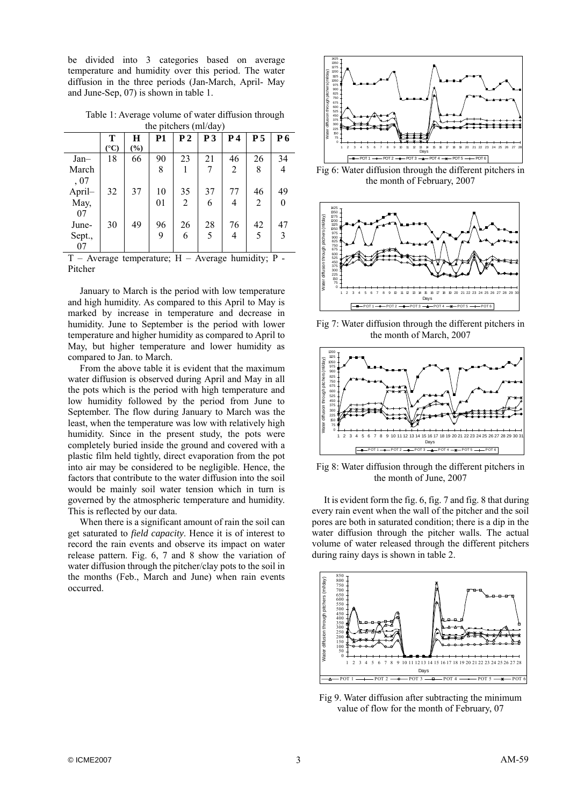be divided into 3 categories based on average temperature and humidity over this period. The water diffusion in the three periods (Jan-March, April- May and June-Sep, 07) is shown in table 1.

Table 1: Average volume of water diffusion through the pitchers (ml/day)

|                                | T               | Н   | <b>P1</b> | P <sub>2</sub>              | P <sub>3</sub> | <b>P4</b>    | P <sub>5</sub> | P6             |
|--------------------------------|-----------------|-----|-----------|-----------------------------|----------------|--------------|----------------|----------------|
|                                | $({}^{\circ}C)$ | (%) |           |                             |                |              |                |                |
| $Jan-$                         | 18              | 66  | 90        | 23                          | 21             | 46           | 26             | 34             |
| March                          |                 |     | 8         |                             | 7              | 2            | 8              | 4              |
| , 07                           |                 |     |           |                             |                |              |                |                |
| April-                         | 32              | 37  | 10        | 35                          | 37             | 77           | 46             | 49             |
| May,                           |                 |     | 01        | 2                           | 6              | 4            | 2              | $\overline{0}$ |
| 07                             |                 |     |           |                             |                |              |                |                |
| June-                          | 30              | 49  | 96        | 26                          | 28             | 76           | 42             | 47             |
| Sept.,                         |                 |     | 9         | 6                           | 5              | 4            | 5              | 3              |
| 07                             |                 |     |           |                             |                |              |                |                |
| $\mathbf{r}$<br>$\overline{a}$ | $\sim$          |     | $\sim$    | <b>TT</b><br>$\overline{a}$ |                | $\mathbf{1}$ | $\cdots$       | $\mathbf{r}$   |

 $T$  – Average temperature;  $H$  – Average humidity; P – Pitcher

 January to March is the period with low temperature and high humidity. As compared to this April to May is marked by increase in temperature and decrease in humidity. June to September is the period with lower temperature and higher humidity as compared to April to May, but higher temperature and lower humidity as compared to Jan. to March.

 From the above table it is evident that the maximum water diffusion is observed during April and May in all the pots which is the period with high temperature and low humidity followed by the period from June to September. The flow during January to March was the least, when the temperature was low with relatively high humidity. Since in the present study, the pots were completely buried inside the ground and covered with a plastic film held tightly, direct evaporation from the pot into air may be considered to be negligible. Hence, the factors that contribute to the water diffusion into the soil would be mainly soil water tension which in turn is governed by the atmospheric temperature and humidity. This is reflected by our data.

 When there is a significant amount of rain the soil can get saturated to *field capacity*. Hence it is of interest to record the rain events and observe its impact on water release pattern. Fig. 6, 7 and 8 show the variation of water diffusion through the pitcher/clay pots to the soil in the months (Feb., March and June) when rain events occurred.



Fig 6: Water diffusion through the different pitchers in the month of February, 2007



Fig 7: Water diffusion through the different pitchers in the month of March, 2007



Fig 8: Water diffusion through the different pitchers in the month of June, 2007

 It is evident form the fig. 6, fig. 7 and fig. 8 that during every rain event when the wall of the pitcher and the soil pores are both in saturated condition; there is a dip in the water diffusion through the pitcher walls. The actual volume of water released through the different pitchers during rainy days is shown in table 2.



Fig 9. Water diffusion after subtracting the minimum value of flow for the month of February, 07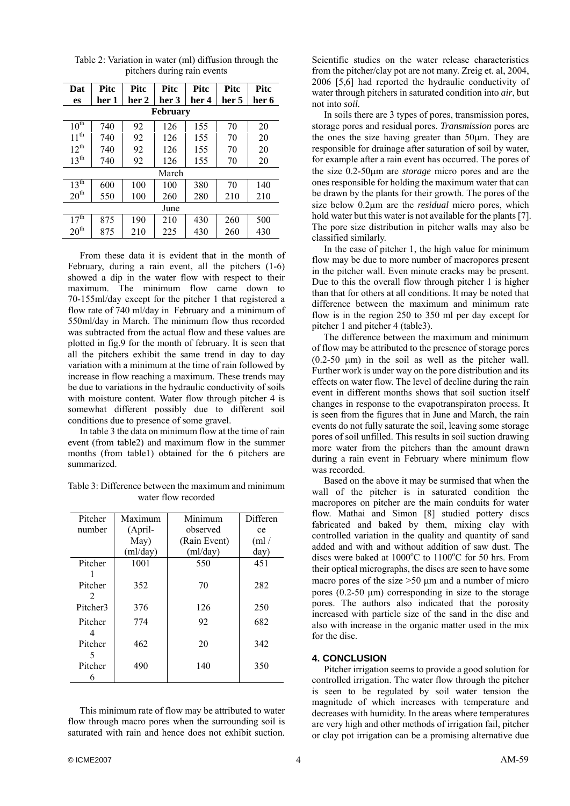| Dat              | <b>Pitc</b> | <b>Pitc</b> | <b>Pitc</b> | Pitc  | <b>Pitc</b> | <b>Pitc</b> |
|------------------|-------------|-------------|-------------|-------|-------------|-------------|
| <b>es</b>        | her 1       | her 2       | her 3       | her 4 | her 5       | her 6       |
| <b>February</b>  |             |             |             |       |             |             |
| $10^{\text{th}}$ | 740         | 92          | 126         | 155   | 70          | 20          |
| $11^{th}$        | 740         | 92          | 126         | 155   | 70          | 20          |
| $12^{th}$        | 740         | 92          | 126         | 155   | 70          | 20          |
| $13^{th}$        | 740         | 92          | 126         | 155   | 70          | 20          |
| March            |             |             |             |       |             |             |
| $13^{\text{th}}$ | 600         | 100         | 100         | 380   | 70          | 140         |
| 20 <sup>th</sup> | 550         | 100         | 260         | 280   | 210         | 210         |
| June             |             |             |             |       |             |             |
| 17 <sup>th</sup> | 875         | 190         | 210         | 430   | 260         | 500         |
| 20 <sup>th</sup> | 875         | 210         | 225         | 430   | 260         | 430         |

Table 2: Variation in water (ml) diffusion through the pitchers during rain events

 From these data it is evident that in the month of February, during a rain event, all the pitchers (1-6) showed a dip in the water flow with respect to their maximum. The minimum flow came down to 70-155ml/day except for the pitcher 1 that registered a flow rate of 740 ml/day in February and a minimum of 550ml/day in March. The minimum flow thus recorded was subtracted from the actual flow and these values are plotted in fig.9 for the month of february. It is seen that all the pitchers exhibit the same trend in day to day variation with a minimum at the time of rain followed by increase in flow reaching a maximum. These trends may be due to variations in the hydraulic conductivity of soils with moisture content. Water flow through pitcher 4 is somewhat different possibly due to different soil conditions due to presence of some gravel.

 In table 3 the data on minimum flow at the time of rain event (from table2) and maximum flow in the summer months (from table1) obtained for the 6 pitchers are summarized.

Table 3: Difference between the maximum and minimum water flow recorded

| Pitcher  | Maximum  | Minimum      | Differen |
|----------|----------|--------------|----------|
| number   | (April-  | observed     | ce       |
|          | May)     | (Rain Event) | (ml/     |
|          | (ml/day) | (ml/day)     | day)     |
| Pitcher  | 1001     | 550          | 451      |
|          |          |              |          |
| Pitcher  | 352      | 70           | 282      |
| 2        |          |              |          |
| Pitcher3 | 376      | 126          | 250      |
| Pitcher  | 774      | 92           | 682      |
| 4        |          |              |          |
| Pitcher  | 462      | 20           | 342      |
| 5        |          |              |          |
| Pitcher  | 490      | 140          | 350      |
| 6        |          |              |          |

 This minimum rate of flow may be attributed to water flow through macro pores when the surrounding soil is saturated with rain and hence does not exhibit suction.

Scientific studies on the water release characteristics from the pitcher/clay pot are not many. Zreig et. al, 2004, 2006 [5,6] had reported the hydraulic conductivity of water through pitchers in saturated condition into *air*, but not into *soil.* 

 In soils there are 3 types of pores, transmission pores, storage pores and residual pores. *Transmission* pores are the ones the size having greater than 50μm. They are responsible for drainage after saturation of soil by water, for example after a rain event has occurred. The pores of the size 0.2-50μm are *storage* micro pores and are the ones responsible for holding the maximum water that can be drawn by the plants for their growth. The pores of the size below 0.2μm are the *residual* micro pores, which hold water but this water is not available for the plants [7]. The pore size distribution in pitcher walls may also be classified similarly.

 In the case of pitcher 1, the high value for minimum flow may be due to more number of macropores present in the pitcher wall. Even minute cracks may be present. Due to this the overall flow through pitcher 1 is higher than that for others at all conditions. It may be noted that difference between the maximum and minimum rate flow is in the region 250 to 350 ml per day except for pitcher 1 and pitcher 4 (table3).

 The difference between the maximum and minimum of flow may be attributed to the presence of storage pores  $(0.2-50 \mu m)$  in the soil as well as the pitcher wall. Further work is under way on the pore distribution and its effects on water flow. The level of decline during the rain event in different months shows that soil suction itself changes in response to the evapotranspiraton process. It is seen from the figures that in June and March, the rain events do not fully saturate the soil, leaving some storage pores of soil unfilled. This results in soil suction drawing more water from the pitchers than the amount drawn during a rain event in February where minimum flow was recorded.

 Based on the above it may be surmised that when the wall of the pitcher is in saturated condition the macropores on pitcher are the main conduits for water flow. Mathai and Simon [8] studied pottery discs fabricated and baked by them, mixing clay with controlled variation in the quality and quantity of sand added and with and without addition of saw dust. The discs were baked at 1000°C to 1100°C for 50 hrs. From their optical micrographs, the discs are seen to have some macro pores of the size  $>50 \mu m$  and a number of micro pores (0.2-50 μm) corresponding in size to the storage pores. The authors also indicated that the porosity increased with particle size of the sand in the disc and also with increase in the organic matter used in the mix for the disc.

#### **4. CONCLUSION**

 Pitcher irrigation seems to provide a good solution for controlled irrigation. The water flow through the pitcher is seen to be regulated by soil water tension the magnitude of which increases with temperature and decreases with humidity. In the areas where temperatures are very high and other methods of irrigation fail, pitcher or clay pot irrigation can be a promising alternative due